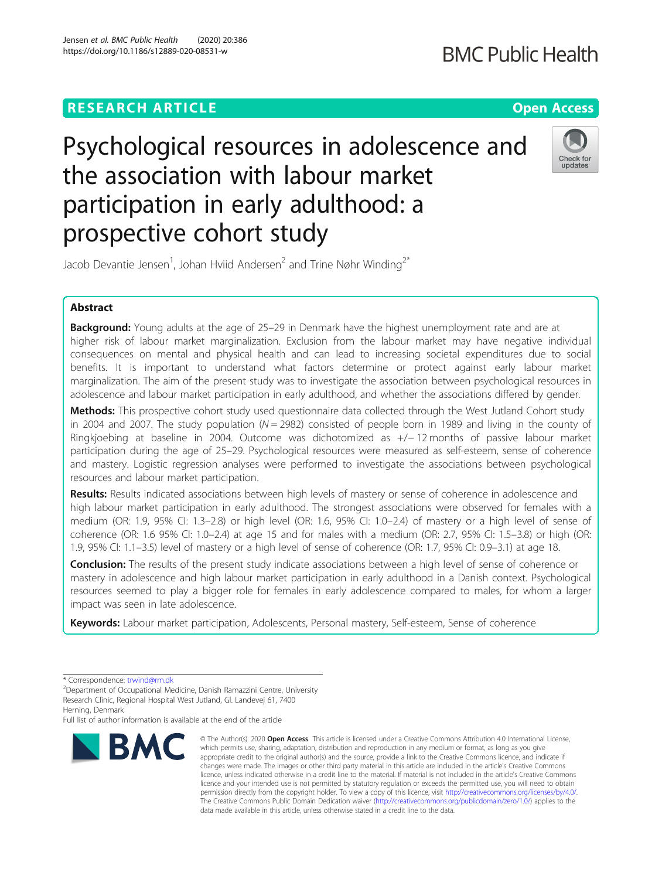## **RESEARCH ARTICLE Example 2014 12:30 The Contract of Contract ACCESS**

# Psychological resources in adolescence and the association with labour market participation in early adulthood: a prospective cohort study



Jacob Devantie Jensen<sup>1</sup>, Johan Hviid Andersen<sup>2</sup> and Trine Nøhr Winding<sup>2\*</sup>

### Abstract

**Background:** Young adults at the age of 25-29 in Denmark have the highest unemployment rate and are at higher risk of labour market marginalization. Exclusion from the labour market may have negative individual consequences on mental and physical health and can lead to increasing societal expenditures due to social benefits. It is important to understand what factors determine or protect against early labour market marginalization. The aim of the present study was to investigate the association between psychological resources in adolescence and labour market participation in early adulthood, and whether the associations differed by gender.

Methods: This prospective cohort study used questionnaire data collected through the West Jutland Cohort study in 2004 and 2007. The study population  $(N = 2982)$  consisted of people born in 1989 and living in the county of Ringkjoebing at baseline in 2004. Outcome was dichotomized as +/− 12 months of passive labour market participation during the age of 25–29. Psychological resources were measured as self-esteem, sense of coherence and mastery. Logistic regression analyses were performed to investigate the associations between psychological resources and labour market participation.

Results: Results indicated associations between high levels of mastery or sense of coherence in adolescence and high labour market participation in early adulthood. The strongest associations were observed for females with a medium (OR: 1.9, 95% CI: 1.3–2.8) or high level (OR: 1.6, 95% CI: 1.0–2.4) of mastery or a high level of sense of coherence (OR: 1.6 95% CI: 1.0–2.4) at age 15 and for males with a medium (OR: 2.7, 95% CI: 1.5–3.8) or high (OR: 1.9, 95% CI: 1.1–3.5) level of mastery or a high level of sense of coherence (OR: 1.7, 95% CI: 0.9–3.1) at age 18.

**Conclusion:** The results of the present study indicate associations between a high level of sense of coherence or mastery in adolescence and high labour market participation in early adulthood in a Danish context. Psychological resources seemed to play a bigger role for females in early adolescence compared to males, for whom a larger impact was seen in late adolescence.

Keywords: Labour market participation, Adolescents, Personal mastery, Self-esteem, Sense of coherence

Herning, Denmark

Full list of author information is available at the end of the article



<sup>©</sup> The Author(s), 2020 **Open Access** This article is licensed under a Creative Commons Attribution 4.0 International License, which permits use, sharing, adaptation, distribution and reproduction in any medium or format, as long as you give appropriate credit to the original author(s) and the source, provide a link to the Creative Commons licence, and indicate if changes were made. The images or other third party material in this article are included in the article's Creative Commons licence, unless indicated otherwise in a credit line to the material. If material is not included in the article's Creative Commons licence and your intended use is not permitted by statutory regulation or exceeds the permitted use, you will need to obtain permission directly from the copyright holder. To view a copy of this licence, visit [http://creativecommons.org/licenses/by/4.0/.](http://creativecommons.org/licenses/by/4.0/) The Creative Commons Public Domain Dedication waiver [\(http://creativecommons.org/publicdomain/zero/1.0/](http://creativecommons.org/publicdomain/zero/1.0/)) applies to the data made available in this article, unless otherwise stated in a credit line to the data.

<sup>\*</sup> Correspondence: [trwind@rm.dk](mailto:trwind@rm.dk)<br><sup>2</sup>Department of Occupational Medicine, Danish Ramazzini Centre, University Research Clinic, Regional Hospital West Jutland, Gl. Landevej 61, 7400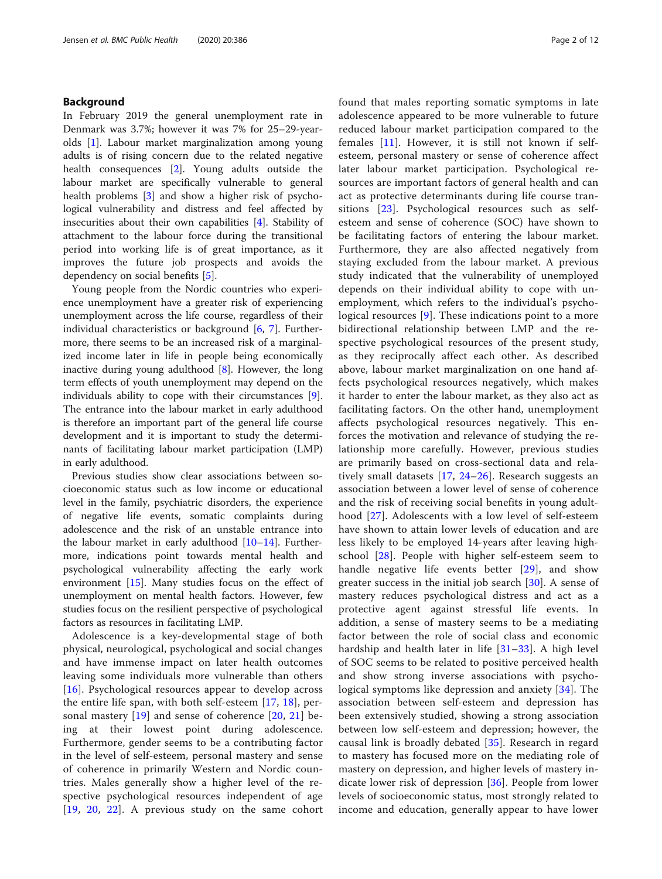#### Background

In February 2019 the general unemployment rate in Denmark was 3.7%; however it was 7% for 25–29-yearolds [\[1](#page-10-0)]. Labour market marginalization among young adults is of rising concern due to the related negative health consequences [\[2](#page-10-0)]. Young adults outside the labour market are specifically vulnerable to general health problems [[3](#page-10-0)] and show a higher risk of psychological vulnerability and distress and feel affected by insecurities about their own capabilities [\[4](#page-10-0)]. Stability of attachment to the labour force during the transitional period into working life is of great importance, as it improves the future job prospects and avoids the dependency on social benefits [\[5](#page-10-0)].

Young people from the Nordic countries who experience unemployment have a greater risk of experiencing unemployment across the life course, regardless of their individual characteristics or background  $[6, 7]$  $[6, 7]$  $[6, 7]$  $[6, 7]$ . Furthermore, there seems to be an increased risk of a marginalized income later in life in people being economically inactive during young adulthood [[8\]](#page-10-0). However, the long term effects of youth unemployment may depend on the individuals ability to cope with their circumstances [\[9](#page-10-0)]. The entrance into the labour market in early adulthood is therefore an important part of the general life course development and it is important to study the determinants of facilitating labour market participation (LMP) in early adulthood.

Previous studies show clear associations between socioeconomic status such as low income or educational level in the family, psychiatric disorders, the experience of negative life events, somatic complaints during adolescence and the risk of an unstable entrance into the labour market in early adulthood  $[10-14]$  $[10-14]$  $[10-14]$ . Furthermore, indications point towards mental health and psychological vulnerability affecting the early work environment [[15\]](#page-10-0). Many studies focus on the effect of unemployment on mental health factors. However, few studies focus on the resilient perspective of psychological factors as resources in facilitating LMP.

Adolescence is a key-developmental stage of both physical, neurological, psychological and social changes and have immense impact on later health outcomes leaving some individuals more vulnerable than others [[16](#page-10-0)]. Psychological resources appear to develop across the entire life span, with both self-esteem [[17](#page-10-0), [18\]](#page-10-0), personal mastery [[19\]](#page-10-0) and sense of coherence [[20,](#page-10-0) [21](#page-10-0)] being at their lowest point during adolescence. Furthermore, gender seems to be a contributing factor in the level of self-esteem, personal mastery and sense of coherence in primarily Western and Nordic countries. Males generally show a higher level of the respective psychological resources independent of age [[19](#page-10-0), [20](#page-10-0), [22](#page-10-0)]. A previous study on the same cohort found that males reporting somatic symptoms in late adolescence appeared to be more vulnerable to future reduced labour market participation compared to the females [[11](#page-10-0)]. However, it is still not known if selfesteem, personal mastery or sense of coherence affect later labour market participation. Psychological resources are important factors of general health and can act as protective determinants during life course transitions [[23](#page-10-0)]. Psychological resources such as selfesteem and sense of coherence (SOC) have shown to be facilitating factors of entering the labour market. Furthermore, they are also affected negatively from staying excluded from the labour market. A previous study indicated that the vulnerability of unemployed depends on their individual ability to cope with unemployment, which refers to the individual's psychological resources [\[9](#page-10-0)]. These indications point to a more bidirectional relationship between LMP and the respective psychological resources of the present study, as they reciprocally affect each other. As described above, labour market marginalization on one hand affects psychological resources negatively, which makes it harder to enter the labour market, as they also act as facilitating factors. On the other hand, unemployment affects psychological resources negatively. This enforces the motivation and relevance of studying the relationship more carefully. However, previous studies are primarily based on cross-sectional data and relatively small datasets [\[17](#page-10-0), [24](#page-10-0)–[26\]](#page-11-0). Research suggests an association between a lower level of sense of coherence and the risk of receiving social benefits in young adulthood [\[27](#page-11-0)]. Adolescents with a low level of self-esteem have shown to attain lower levels of education and are less likely to be employed 14-years after leaving highschool [[28\]](#page-11-0). People with higher self-esteem seem to handle negative life events better [\[29\]](#page-11-0), and show greater success in the initial job search [[30\]](#page-11-0). A sense of mastery reduces psychological distress and act as a protective agent against stressful life events. In addition, a sense of mastery seems to be a mediating factor between the role of social class and economic hardship and health later in life [[31](#page-11-0)–[33\]](#page-11-0). A high level of SOC seems to be related to positive perceived health and show strong inverse associations with psychological symptoms like depression and anxiety [[34](#page-11-0)]. The association between self-esteem and depression has been extensively studied, showing a strong association between low self-esteem and depression; however, the causal link is broadly debated [\[35](#page-11-0)]. Research in regard to mastery has focused more on the mediating role of mastery on depression, and higher levels of mastery indicate lower risk of depression [\[36\]](#page-11-0). People from lower levels of socioeconomic status, most strongly related to income and education, generally appear to have lower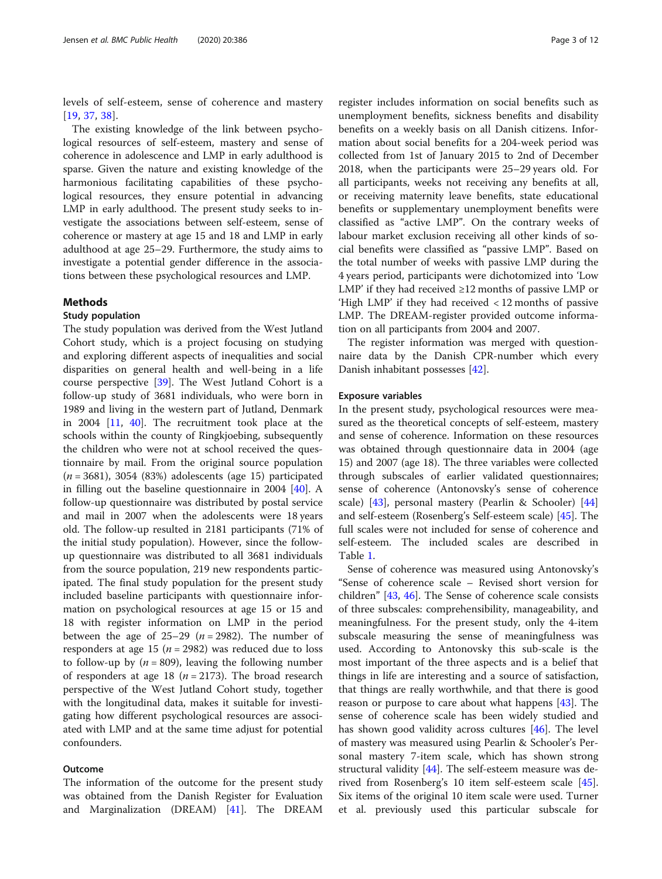levels of self-esteem, sense of coherence and mastery [[19](#page-10-0), [37](#page-11-0), [38\]](#page-11-0).

The existing knowledge of the link between psychological resources of self-esteem, mastery and sense of coherence in adolescence and LMP in early adulthood is sparse. Given the nature and existing knowledge of the harmonious facilitating capabilities of these psychological resources, they ensure potential in advancing LMP in early adulthood. The present study seeks to investigate the associations between self-esteem, sense of coherence or mastery at age 15 and 18 and LMP in early adulthood at age 25–29. Furthermore, the study aims to investigate a potential gender difference in the associations between these psychological resources and LMP.

#### Methods

#### Study population

The study population was derived from the West Jutland Cohort study, which is a project focusing on studying and exploring different aspects of inequalities and social disparities on general health and well-being in a life course perspective [\[39](#page-11-0)]. The West Jutland Cohort is a follow-up study of 3681 individuals, who were born in 1989 and living in the western part of Jutland, Denmark in 2004 [[11,](#page-10-0) [40](#page-11-0)]. The recruitment took place at the schools within the county of Ringkjoebing, subsequently the children who were not at school received the questionnaire by mail. From the original source population  $(n = 3681)$ , 3054 (83%) adolescents (age 15) participated in filling out the baseline questionnaire in 2004 [[40](#page-11-0)]. A follow-up questionnaire was distributed by postal service and mail in 2007 when the adolescents were 18 years old. The follow-up resulted in 2181 participants (71% of the initial study population). However, since the followup questionnaire was distributed to all 3681 individuals from the source population, 219 new respondents participated. The final study population for the present study included baseline participants with questionnaire information on psychological resources at age 15 or 15 and 18 with register information on LMP in the period between the age of 25–29 ( $n = 2982$ ). The number of responders at age 15 ( $n = 2982$ ) was reduced due to loss to follow-up by ( $n = 809$ ), leaving the following number of responders at age 18 ( $n = 2173$ ). The broad research perspective of the West Jutland Cohort study, together with the longitudinal data, makes it suitable for investigating how different psychological resources are associated with LMP and at the same time adjust for potential confounders.

#### Outcome

The information of the outcome for the present study was obtained from the Danish Register for Evaluation and Marginalization (DREAM) [[41\]](#page-11-0). The DREAM

register includes information on social benefits such as unemployment benefits, sickness benefits and disability benefits on a weekly basis on all Danish citizens. Information about social benefits for a 204-week period was collected from 1st of January 2015 to 2nd of December 2018, when the participants were 25–29 years old. For all participants, weeks not receiving any benefits at all, or receiving maternity leave benefits, state educational benefits or supplementary unemployment benefits were classified as "active LMP". On the contrary weeks of labour market exclusion receiving all other kinds of social benefits were classified as "passive LMP". Based on the total number of weeks with passive LMP during the 4 years period, participants were dichotomized into 'Low LMP' if they had received  $\geq$ 12 months of passive LMP or 'High LMP' if they had received < 12 months of passive LMP. The DREAM-register provided outcome information on all participants from 2004 and 2007.

The register information was merged with questionnaire data by the Danish CPR-number which every Danish inhabitant possesses [[42\]](#page-11-0).

#### Exposure variables

In the present study, psychological resources were measured as the theoretical concepts of self-esteem, mastery and sense of coherence. Information on these resources was obtained through questionnaire data in 2004 (age 15) and 2007 (age 18). The three variables were collected through subscales of earlier validated questionnaires; sense of coherence (Antonovsky's sense of coherence scale) [\[43](#page-11-0)], personal mastery (Pearlin & Schooler) [[44](#page-11-0)] and self-esteem (Rosenberg's Self-esteem scale) [\[45](#page-11-0)]. The full scales were not included for sense of coherence and self-esteem. The included scales are described in Table [1.](#page-3-0)

Sense of coherence was measured using Antonovsky's "Sense of coherence scale – Revised short version for children" [\[43](#page-11-0), [46](#page-11-0)]. The Sense of coherence scale consists of three subscales: comprehensibility, manageability, and meaningfulness. For the present study, only the 4-item subscale measuring the sense of meaningfulness was used. According to Antonovsky this sub-scale is the most important of the three aspects and is a belief that things in life are interesting and a source of satisfaction, that things are really worthwhile, and that there is good reason or purpose to care about what happens [[43\]](#page-11-0). The sense of coherence scale has been widely studied and has shown good validity across cultures [\[46](#page-11-0)]. The level of mastery was measured using Pearlin & Schooler's Personal mastery 7-item scale, which has shown strong structural validity [\[44\]](#page-11-0). The self-esteem measure was derived from Rosenberg's 10 item self-esteem scale [\[45](#page-11-0)]. Six items of the original 10 item scale were used. Turner et al. previously used this particular subscale for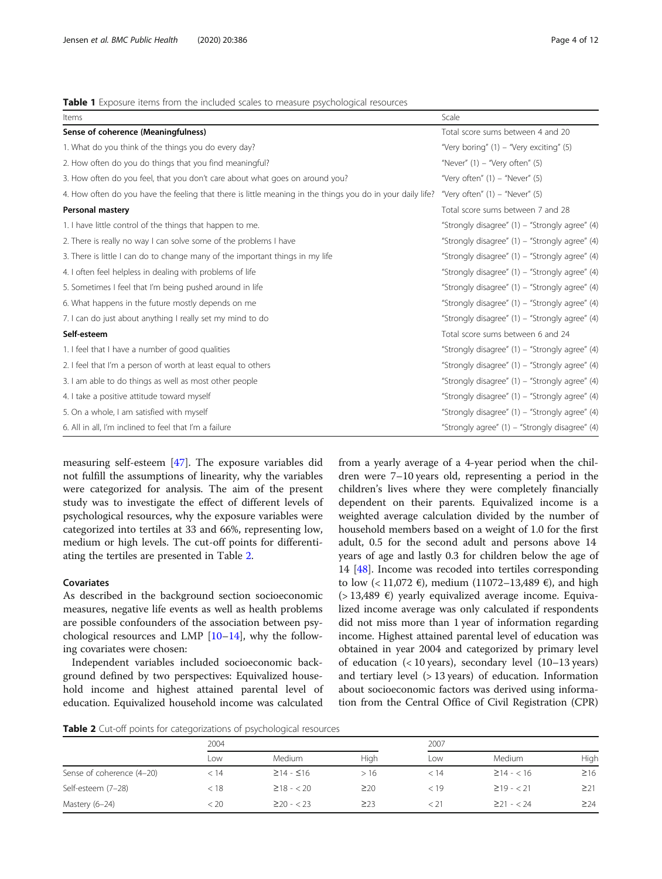#### <span id="page-3-0"></span>Table 1 Exposure items from the included scales to measure psychological resources

| Items                                                                                                      | Scale                                              |
|------------------------------------------------------------------------------------------------------------|----------------------------------------------------|
| Sense of coherence (Meaningfulness)                                                                        | Total score sums between 4 and 20                  |
| 1. What do you think of the things you do every day?                                                       | "Very boring" (1) – "Very exciting" (5)            |
| 2. How often do you do things that you find meaningful?                                                    | "Never" $(1)$ – "Very often" $(5)$                 |
| 3. How often do you feel, that you don't care about what goes on around you?                               | "Very often" $(1)$ – "Never" $(5)$                 |
| 4. How often do you have the feeling that there is little meaning in the things you do in your daily life? | "Very often" $(1)$ – "Never" $(5)$                 |
| <b>Personal mastery</b>                                                                                    | Total score sums between 7 and 28                  |
| 1. I have little control of the things that happen to me.                                                  | "Strongly disagree" $(1)$ – "Strongly agree" $(4)$ |
| 2. There is really no way I can solve some of the problems I have                                          | "Strongly disagree" (1) - "Strongly agree" (4)     |
| 3. There is little I can do to change many of the important things in my life                              | "Strongly disagree" (1) - "Strongly agree" (4)     |
| 4. I often feel helpless in dealing with problems of life                                                  | "Strongly disagree" (1) – "Strongly agree" (4)     |
| 5. Sometimes I feel that I'm being pushed around in life                                                   | "Strongly disagree" (1) - "Strongly agree" (4)     |
| 6. What happens in the future mostly depends on me                                                         | "Strongly disagree" (1) - "Strongly agree" (4)     |
| 7. I can do just about anything I really set my mind to do                                                 | "Strongly disagree" (1) - "Strongly agree" (4)     |
| Self-esteem                                                                                                | Total score sums between 6 and 24                  |
| 1. I feel that I have a number of good qualities                                                           | "Strongly disagree" (1) - "Strongly agree" (4)     |
| 2. I feel that I'm a person of worth at least equal to others                                              | "Strongly disagree" (1) - "Strongly agree" (4)     |
| 3. I am able to do things as well as most other people                                                     | "Strongly disagree" (1) - "Strongly agree" (4)     |
| 4. I take a positive attitude toward myself                                                                | "Strongly disagree" (1) - "Strongly agree" (4)     |
| 5. On a whole, I am satisfied with myself                                                                  | "Strongly disagree" (1) - "Strongly agree" (4)     |
| 6. All in all, I'm inclined to feel that I'm a failure                                                     | "Strongly agree" (1) – "Strongly disagree" (4)     |

measuring self-esteem [[47](#page-11-0)]. The exposure variables did not fulfill the assumptions of linearity, why the variables were categorized for analysis. The aim of the present study was to investigate the effect of different levels of psychological resources, why the exposure variables were categorized into tertiles at 33 and 66%, representing low, medium or high levels. The cut-off points for differentiating the tertiles are presented in Table 2.

#### Covariates

As described in the background section socioeconomic measures, negative life events as well as health problems are possible confounders of the association between psychological resources and LMP [\[10](#page-10-0)–[14\]](#page-10-0), why the following covariates were chosen:

Independent variables included socioeconomic background defined by two perspectives: Equivalized household income and highest attained parental level of education. Equivalized household income was calculated

from a yearly average of a 4-year period when the children were 7–10 years old, representing a period in the children's lives where they were completely financially dependent on their parents. Equivalized income is a weighted average calculation divided by the number of household members based on a weight of 1.0 for the first adult, 0.5 for the second adult and persons above 14 years of age and lastly 0.3 for children below the age of 14 [\[48](#page-11-0)]. Income was recoded into tertiles corresponding to low (< 11,072 €), medium (11072–13,489 €), and high  $(> 13,489 \epsilon)$  yearly equivalized average income. Equivalized income average was only calculated if respondents did not miss more than 1 year of information regarding income. Highest attained parental level of education was obtained in year 2004 and categorized by primary level of education (< 10 years), secondary level (10–13 years) and tertiary level (> 13 years) of education. Information about socioeconomic factors was derived using information from the Central Office of Civil Registration (CPR)

Table 2 Cut-off points for categorizations of psychological resources

|                           | 2004 |                       |           | 2007 |                  |           |  |  |
|---------------------------|------|-----------------------|-----------|------|------------------|-----------|--|--|
|                           | ∟OW  | Medium                | Hiah      | Low  | Medium           | High      |  |  |
| Sense of coherence (4-20) | < 14 | $\geq$ 14 - $\leq$ 16 | >16       | < 14 | $\geq$ 14 - < 16 | $\geq$ 16 |  |  |
| Self-esteem (7-28)        | < 18 | $\geq$ 18 - < 20      | $\geq$ 20 | < 19 | $\geq$ 19 - < 21 | $\geq$ 21 |  |  |
| Mastery (6-24)            | < 20 | $\geq$ 20 - < 23      | $\geq$ 23 | < 21 | $221 - 24$       | $\geq$ 24 |  |  |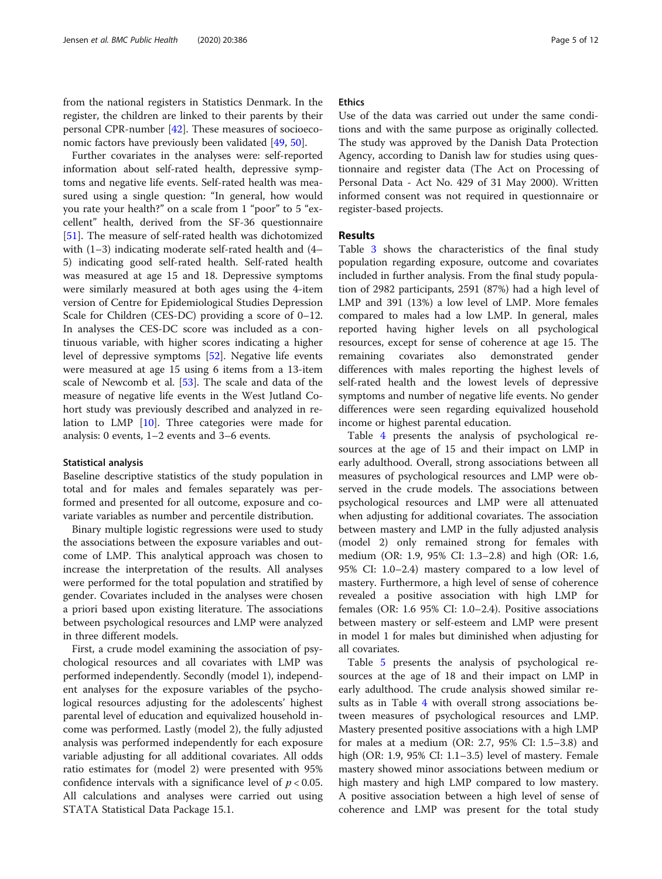from the national registers in Statistics Denmark. In the register, the children are linked to their parents by their personal CPR-number [\[42](#page-11-0)]. These measures of socioeconomic factors have previously been validated [\[49](#page-11-0), [50](#page-11-0)].

Further covariates in the analyses were: self-reported information about self-rated health, depressive symptoms and negative life events. Self-rated health was measured using a single question: "In general, how would you rate your health?" on a scale from 1 "poor" to 5 "excellent" health, derived from the SF-36 questionnaire [[51\]](#page-11-0). The measure of self-rated health was dichotomized with (1–3) indicating moderate self-rated health and (4– 5) indicating good self-rated health. Self-rated health was measured at age 15 and 18. Depressive symptoms were similarly measured at both ages using the 4-item version of Centre for Epidemiological Studies Depression Scale for Children (CES-DC) providing a score of 0–12. In analyses the CES-DC score was included as a continuous variable, with higher scores indicating a higher level of depressive symptoms [\[52\]](#page-11-0). Negative life events were measured at age 15 using 6 items from a 13-item scale of Newcomb et al. [\[53\]](#page-11-0). The scale and data of the measure of negative life events in the West Jutland Cohort study was previously described and analyzed in relation to LMP [[10\]](#page-10-0). Three categories were made for analysis: 0 events, 1–2 events and 3–6 events.

#### Statistical analysis

Baseline descriptive statistics of the study population in total and for males and females separately was performed and presented for all outcome, exposure and covariate variables as number and percentile distribution.

Binary multiple logistic regressions were used to study the associations between the exposure variables and outcome of LMP. This analytical approach was chosen to increase the interpretation of the results. All analyses were performed for the total population and stratified by gender. Covariates included in the analyses were chosen a priori based upon existing literature. The associations between psychological resources and LMP were analyzed in three different models.

First, a crude model examining the association of psychological resources and all covariates with LMP was performed independently. Secondly (model 1), independent analyses for the exposure variables of the psychological resources adjusting for the adolescents' highest parental level of education and equivalized household income was performed. Lastly (model 2), the fully adjusted analysis was performed independently for each exposure variable adjusting for all additional covariates. All odds ratio estimates for (model 2) were presented with 95% confidence intervals with a significance level of  $p < 0.05$ . All calculations and analyses were carried out using STATA Statistical Data Package 15.1.

#### **Ethics**

Use of the data was carried out under the same conditions and with the same purpose as originally collected. The study was approved by the Danish Data Protection Agency, according to Danish law for studies using questionnaire and register data (The Act on Processing of Personal Data - Act No. 429 of 31 May 2000). Written informed consent was not required in questionnaire or register-based projects.

#### Results

Table [3](#page-5-0) shows the characteristics of the final study population regarding exposure, outcome and covariates included in further analysis. From the final study population of 2982 participants, 2591 (87%) had a high level of LMP and 391 (13%) a low level of LMP. More females compared to males had a low LMP. In general, males reported having higher levels on all psychological resources, except for sense of coherence at age 15. The remaining covariates also demonstrated gender differences with males reporting the highest levels of self-rated health and the lowest levels of depressive symptoms and number of negative life events. No gender differences were seen regarding equivalized household income or highest parental education.

Table [4](#page-7-0) presents the analysis of psychological resources at the age of 15 and their impact on LMP in early adulthood. Overall, strong associations between all measures of psychological resources and LMP were observed in the crude models. The associations between psychological resources and LMP were all attenuated when adjusting for additional covariates. The association between mastery and LMP in the fully adjusted analysis (model 2) only remained strong for females with medium (OR: 1.9, 95% CI: 1.3–2.8) and high (OR: 1.6, 95% CI: 1.0–2.4) mastery compared to a low level of mastery. Furthermore, a high level of sense of coherence revealed a positive association with high LMP for females (OR: 1.6 95% CI: 1.0–2.4). Positive associations between mastery or self-esteem and LMP were present in model 1 for males but diminished when adjusting for all covariates.

Table [5](#page-8-0) presents the analysis of psychological resources at the age of 18 and their impact on LMP in early adulthood. The crude analysis showed similar results as in Table [4](#page-7-0) with overall strong associations between measures of psychological resources and LMP. Mastery presented positive associations with a high LMP for males at a medium (OR: 2.7, 95% CI: 1.5–3.8) and high (OR: 1.9, 95% CI: 1.1–3.5) level of mastery. Female mastery showed minor associations between medium or high mastery and high LMP compared to low mastery. A positive association between a high level of sense of coherence and LMP was present for the total study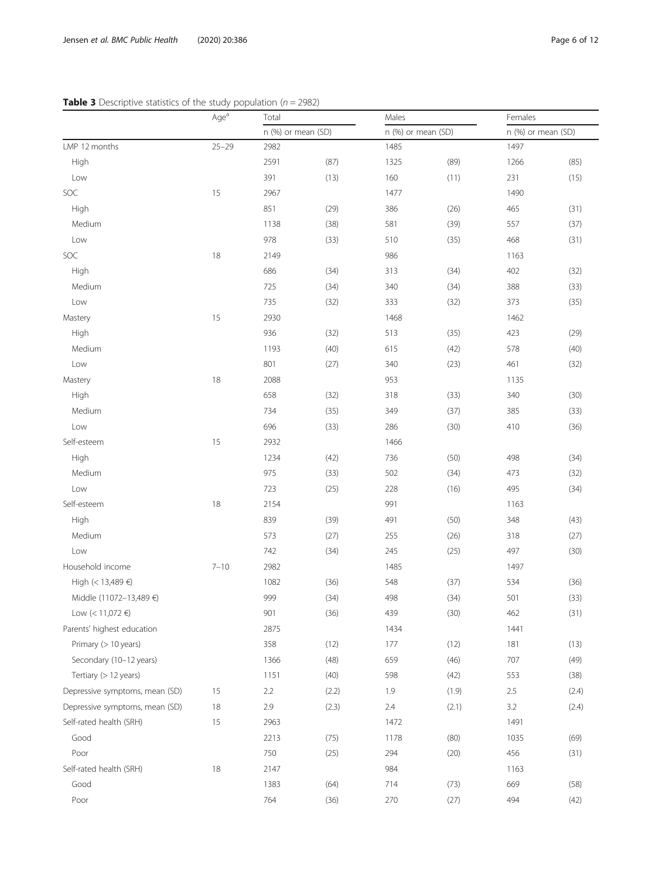<span id="page-5-0"></span>

|                                | Age <sup>a</sup> | Total              |       | Males              |       | Females            |       |  |
|--------------------------------|------------------|--------------------|-------|--------------------|-------|--------------------|-------|--|
|                                |                  | n (%) or mean (SD) |       | n (%) or mean (SD) |       | n (%) or mean (SD) |       |  |
| LMP 12 months                  | $25 - 29$        | 2982               |       | 1485               |       | 1497               |       |  |
| High                           |                  | 2591               | (87)  | 1325               | (89)  | 1266               | (85)  |  |
| Low                            |                  | 391                | (13)  | 160                | (11)  | 231                | (15)  |  |
| SOC                            | 15               | 2967               |       | 1477               |       | 1490               |       |  |
| High                           |                  | 851                | (29)  | 386                | (26)  | 465                | (31)  |  |
| Medium                         |                  | 1138               | (38)  | 581                | (39)  | 557                | (37)  |  |
| Low                            |                  | 978                | (33)  | 510                | (35)  | 468                | (31)  |  |
| SOC                            | 18               | 2149               |       | 986                |       | 1163               |       |  |
| High                           |                  | 686                | (34)  | 313                | (34)  | 402                | (32)  |  |
| Medium                         |                  | 725                | (34)  | 340                | (34)  | 388                | (33)  |  |
| Low                            |                  | 735                | (32)  | 333                | (32)  | 373                | (35)  |  |
| Mastery                        | 15               | 2930               |       | 1468               |       | 1462               |       |  |
| High                           |                  | 936                | (32)  | 513                | (35)  | 423                | (29)  |  |
| Medium                         |                  | 1193               | (40)  | 615                | (42)  | 578                | (40)  |  |
| Low                            |                  | 801                | (27)  | 340                | (23)  | 461                | (32)  |  |
| Mastery                        | 18               | 2088               |       | 953                |       | 1135               |       |  |
| High                           |                  | 658                | (32)  | 318                | (33)  | 340                | (30)  |  |
| Medium                         |                  | 734                | (35)  | 349                | (37)  | 385                | (33)  |  |
| Low                            |                  | 696                | (33)  | 286                | (30)  | 410                | (36)  |  |
| Self-esteem                    | 15               | 2932               |       | 1466               |       |                    |       |  |
| High                           |                  | 1234               | (42)  | 736                | (50)  | 498                | (34)  |  |
| Medium                         |                  | 975                | (33)  | 502                | (34)  | 473                | (32)  |  |
| Low                            |                  | 723                | (25)  | 228                | (16)  | 495                | (34)  |  |
| Self-esteem                    | 18               | 2154               |       | 991                |       | 1163               |       |  |
| High                           |                  | 839                | (39)  | 491                | (50)  | 348                | (43)  |  |
| Medium                         |                  | 573                | (27)  | 255                | (26)  | 318                | (27)  |  |
| Low                            |                  | 742                | (34)  | 245                | (25)  | 497                | (30)  |  |
| Household income               | $7 - 10$         | 2982               |       | 1485               |       | 1497               |       |  |
| High (< 13,489 €)              |                  | 1082               | (36)  | 548                | (37)  | 534                | (36)  |  |
| Middle (11072-13,489 €)        |                  | 999                | (34)  | 498                | (34)  | 501                | (33)  |  |
| Low (< 11,072 €)               |                  | 901                | (36)  | 439                | (30)  | 462                | (31)  |  |
| Parents' highest education     |                  | 2875               |       | 1434               |       | 1441               |       |  |
| Primary (> 10 years)           |                  | 358                | (12)  | 177                | (12)  | 181                | (13)  |  |
| Secondary (10-12 years)        |                  | 1366               | (48)  | 659                | (46)  | 707                | (49)  |  |
| Tertiary (> 12 years)          |                  | 1151               | (40)  | 598                | (42)  | 553                | (38)  |  |
| Depressive symptoms, mean (SD) | 15               | 2.2                | (2.2) | 1.9                | (1.9) | 2.5                | (2.4) |  |
| Depressive symptoms, mean (SD) | 18               | 2.9                | (2.3) | 2.4                | (2.1) | 3.2                | (2.4) |  |
| Self-rated health (SRH)        | 15               | 2963               |       | 1472               |       | 1491               |       |  |
| Good                           |                  | 2213               | (75)  | 1178               | (80)  | 1035               | (69)  |  |
| Poor                           |                  | 750                | (25)  | 294                | (20)  | 456                | (31)  |  |
| Self-rated health (SRH)        | 18               | 2147               |       | 984                |       | 1163               |       |  |
| Good                           |                  | 1383               | (64)  | 714                | (73)  | 669                | (58)  |  |
| Poor                           |                  | 764                | (36)  | 270                | (27)  | 494                | (42)  |  |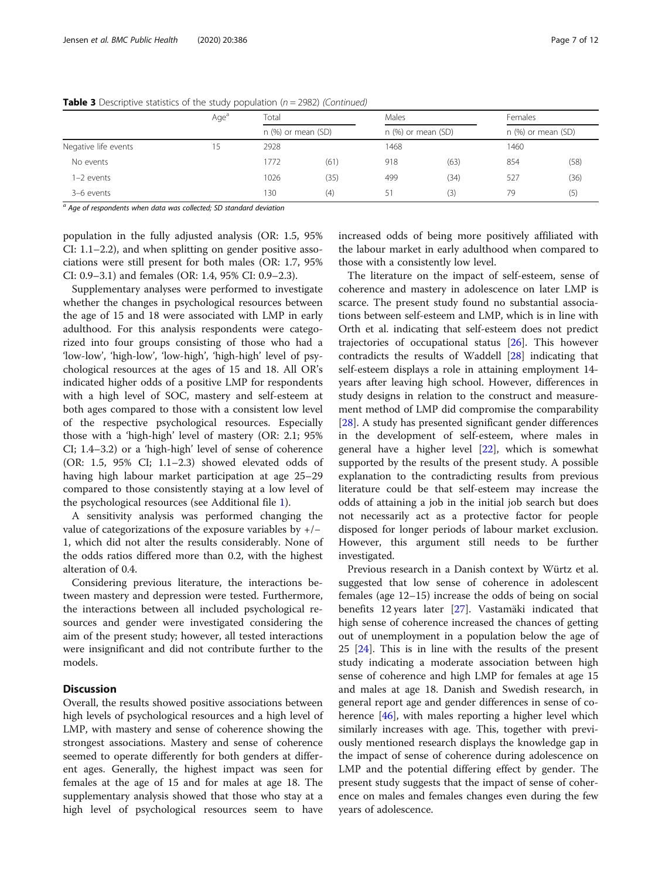|                      | Age <sup>a</sup> | Total                |      |                      |      | Females<br>$n$ (%) or mean (SD) |      |  |
|----------------------|------------------|----------------------|------|----------------------|------|---------------------------------|------|--|
|                      |                  | $n$ (%) or mean (SD) |      | $n$ (%) or mean (SD) |      |                                 |      |  |
| Negative life events | לו               | 2928                 |      | 1468                 |      | 1460                            |      |  |
| No events            |                  | 1772                 | (61) | 918                  | (63) | 854                             | (58) |  |
| $I-2$ events         |                  | 1026                 | (35) | 499                  | (34) | 527                             | (36) |  |
| 3-6 events           |                  | 130                  | (4)  | 51                   | (3)  | 79                              | (5)  |  |

**Table 3** Descriptive statistics of the study population ( $n = 2982$ ) (Continued)

 $a$  Age of respondents when data was collected; SD standard deviation

population in the fully adjusted analysis (OR: 1.5, 95% CI: 1.1–2.2), and when splitting on gender positive associations were still present for both males (OR: 1.7, 95% CI: 0.9–3.1) and females (OR: 1.4, 95% CI: 0.9–2.3).

Supplementary analyses were performed to investigate whether the changes in psychological resources between the age of 15 and 18 were associated with LMP in early adulthood. For this analysis respondents were categorized into four groups consisting of those who had a 'low-low', 'high-low', 'low-high', 'high-high' level of psychological resources at the ages of 15 and 18. All OR's indicated higher odds of a positive LMP for respondents with a high level of SOC, mastery and self-esteem at both ages compared to those with a consistent low level of the respective psychological resources. Especially those with a 'high-high' level of mastery (OR: 2.1; 95% CI; 1.4–3.2) or a 'high-high' level of sense of coherence (OR: 1.5, 95% CI; 1.1–2.3) showed elevated odds of having high labour market participation at age 25–29 compared to those consistently staying at a low level of the psychological resources (see Additional file [1](#page-10-0)).

A sensitivity analysis was performed changing the value of categorizations of the exposure variables by +/− 1, which did not alter the results considerably. None of the odds ratios differed more than 0.2, with the highest alteration of 0.4.

Considering previous literature, the interactions between mastery and depression were tested. Furthermore, the interactions between all included psychological resources and gender were investigated considering the aim of the present study; however, all tested interactions were insignificant and did not contribute further to the models.

#### **Discussion**

Overall, the results showed positive associations between high levels of psychological resources and a high level of LMP, with mastery and sense of coherence showing the strongest associations. Mastery and sense of coherence seemed to operate differently for both genders at different ages. Generally, the highest impact was seen for females at the age of 15 and for males at age 18. The supplementary analysis showed that those who stay at a high level of psychological resources seem to have increased odds of being more positively affiliated with the labour market in early adulthood when compared to those with a consistently low level.

The literature on the impact of self-esteem, sense of coherence and mastery in adolescence on later LMP is scarce. The present study found no substantial associations between self-esteem and LMP, which is in line with Orth et al. indicating that self-esteem does not predict trajectories of occupational status [[26](#page-11-0)]. This however contradicts the results of Waddell [\[28](#page-11-0)] indicating that self-esteem displays a role in attaining employment 14 years after leaving high school. However, differences in study designs in relation to the construct and measurement method of LMP did compromise the comparability [[28\]](#page-11-0). A study has presented significant gender differences in the development of self-esteem, where males in general have a higher level [[22\]](#page-10-0), which is somewhat supported by the results of the present study. A possible explanation to the contradicting results from previous literature could be that self-esteem may increase the odds of attaining a job in the initial job search but does not necessarily act as a protective factor for people disposed for longer periods of labour market exclusion. However, this argument still needs to be further investigated.

Previous research in a Danish context by Würtz et al. suggested that low sense of coherence in adolescent females (age 12–15) increase the odds of being on social benefits 12 years later [[27\]](#page-11-0). Vastamäki indicated that high sense of coherence increased the chances of getting out of unemployment in a population below the age of 25 [\[24](#page-10-0)]. This is in line with the results of the present study indicating a moderate association between high sense of coherence and high LMP for females at age 15 and males at age 18. Danish and Swedish research, in general report age and gender differences in sense of coherence [[46\]](#page-11-0), with males reporting a higher level which similarly increases with age. This, together with previously mentioned research displays the knowledge gap in the impact of sense of coherence during adolescence on LMP and the potential differing effect by gender. The present study suggests that the impact of sense of coherence on males and females changes even during the few years of adolescence.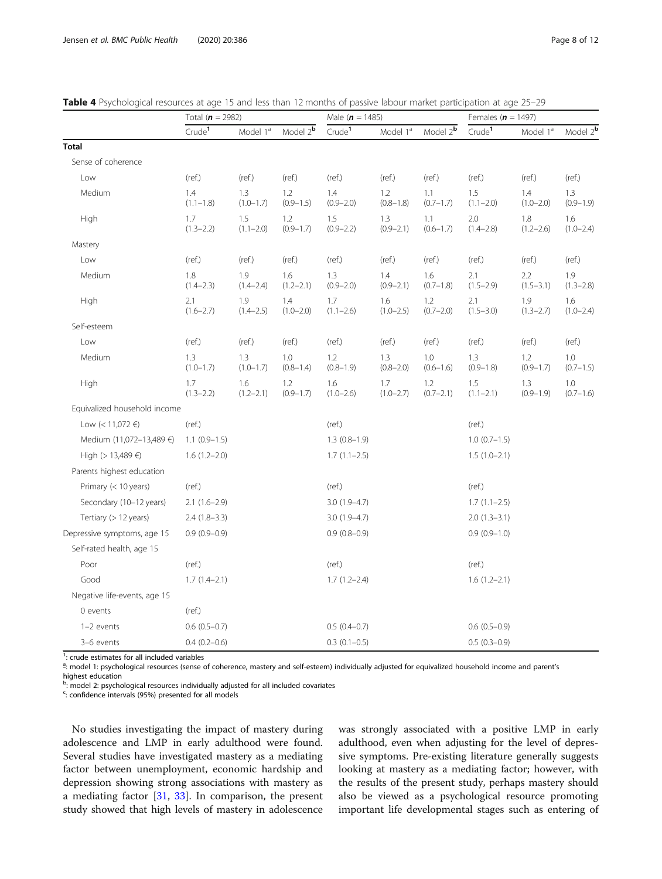|                              | Total ( $n = 2982$ ) |                      |                      | Male $(n = 1485)$    |                      |                      | Females ( $n = 1497$ ) |                      |                      |
|------------------------------|----------------------|----------------------|----------------------|----------------------|----------------------|----------------------|------------------------|----------------------|----------------------|
|                              | Crude <sup>1</sup>   | Model 1 <sup>ª</sup> | Model $2^b$          | Crude <sup>1</sup>   | Model 1 <sup>ª</sup> | Model $2^b$          | Crude <sup>1</sup>     | Model 1 <sup>ª</sup> | Model 2 <sup>b</sup> |
| Total                        |                      |                      |                      |                      |                      |                      |                        |                      |                      |
| Sense of coherence           |                      |                      |                      |                      |                      |                      |                        |                      |                      |
| Low                          | (ref.)               | (ref.)               | (ref.)               | (ref.)               | (ref.)               | (ref.)               | (ref.)                 | (ref.)               | (ref.)               |
| Medium                       | 1.4<br>$(1.1 - 1.8)$ | 1.3<br>$(1.0 - 1.7)$ | 1.2<br>$(0.9 - 1.5)$ | 1.4<br>$(0.9 - 2.0)$ | 1.2<br>$(0.8 - 1.8)$ | 1.1<br>$(0.7-1.7)$   | 1.5<br>$(1.1 - 2.0)$   | 1.4<br>$(1.0 - 2.0)$ | 1.3<br>$(0.9 - 1.9)$ |
| High                         | 1.7<br>$(1.3 - 2.2)$ | 1.5<br>$(1.1 - 2.0)$ | 1.2<br>$(0.9 - 1.7)$ | 1.5<br>$(0.9 - 2.2)$ | 1.3<br>$(0.9 - 2.1)$ | 1.1<br>$(0.6 - 1.7)$ | 2.0<br>$(1.4 - 2.8)$   | 1.8<br>$(1.2 - 2.6)$ | 1.6<br>$(1.0 - 2.4)$ |
| Mastery                      |                      |                      |                      |                      |                      |                      |                        |                      |                      |
| Low                          | (ref.)               | (ref.)               | (ref.)               | (ref.)               | (ref.)               | (ref.)               | (ref.)                 | (ref.)               | (ref.)               |
| Medium                       | 1.8<br>$(1.4 - 2.3)$ | 1.9<br>$(1.4 - 2.4)$ | 1.6<br>$(1.2 - 2.1)$ | 1.3<br>$(0.9 - 2.0)$ | 1.4<br>$(0.9 - 2.1)$ | 1.6<br>$(0.7-1.8)$   | 2.1<br>$(1.5 - 2.9)$   | 2.2<br>$(1.5 - 3.1)$ | 1.9<br>$(1.3 - 2.8)$ |
| <b>High</b>                  | 2.1<br>$(1.6 - 2.7)$ | 1.9<br>$(1.4 - 2.5)$ | 1.4<br>$(1.0 - 2.0)$ | 1.7<br>$(1.1 - 2.6)$ | 1.6<br>$(1.0 - 2.5)$ | 1.2<br>$(0.7 - 2.0)$ | 2.1<br>$(1.5 - 3.0)$   | 1.9<br>$(1.3 - 2.7)$ | 1.6<br>$(1.0 - 2.4)$ |
| Self-esteem                  |                      |                      |                      |                      |                      |                      |                        |                      |                      |
| Low                          | (ref.)               | (ref.)               | (ref.)               | (ref.)               | (ref.)               | (ref.)               | (ref.)                 | (ref.)               | (ref.)               |
| Medium                       | 1.3<br>$(1.0 - 1.7)$ | 1.3<br>$(1.0 - 1.7)$ | 1.0<br>$(0.8 - 1.4)$ | 1.2<br>$(0.8 - 1.9)$ | 1.3<br>$(0.8 - 2.0)$ | 1.0<br>$(0.6 - 1.6)$ | 1.3<br>$(0.9 - 1.8)$   | 1.2<br>$(0.9 - 1.7)$ | 1.0<br>$(0.7 - 1.5)$ |
| High                         | 1.7<br>$(1.3 - 2.2)$ | 1.6<br>$(1.2 - 2.1)$ | 1.2<br>$(0.9 - 1.7)$ | 1.6<br>$(1.0 - 2.6)$ | 1.7<br>$(1.0 - 2.7)$ | 1.2<br>$(0.7 - 2.1)$ | 1.5<br>$(1.1 - 2.1)$   | 1.3<br>$(0.9 - 1.9)$ | 1.0<br>$(0.7 - 1.6)$ |
| Equivalized household income |                      |                      |                      |                      |                      |                      |                        |                      |                      |
| Low (< 11,072 €)             | (ref.)               |                      |                      | (ref.)               |                      |                      | (ref.)                 |                      |                      |
| Medium (11,072-13,489 €)     | $1.1$ (0.9-1.5)      |                      |                      | $1.3(0.8-1.9)$       |                      |                      | $1.0(0.7-1.5)$         |                      |                      |
| High (> 13,489 €)            | $1.6(1.2 - 2.0)$     |                      |                      | $1.7(1.1-2.5)$       |                      |                      | $1.5(1.0-2.1)$         |                      |                      |
| Parents highest education    |                      |                      |                      |                      |                      |                      |                        |                      |                      |
| Primary (< 10 years)         | (ref.)               |                      |                      | (ref.)               |                      |                      | (ref.)                 |                      |                      |
| Secondary (10-12 years)      | $2.1(1.6-2.9)$       |                      |                      | $3.0(1.9-4.7)$       |                      |                      | $1.7(1.1-2.5)$         |                      |                      |
| Tertiary (> 12 years)        | $2.4(1.8-3.3)$       |                      |                      | $3.0(1.9 - 4.7)$     |                      |                      | $2.0(1.3-3.1)$         |                      |                      |
| Depressive symptoms, age 15  | $0.9(0.9-0.9)$       |                      |                      | $0.9(0.8-0.9)$       |                      |                      | $0.9(0.9-1.0)$         |                      |                      |
| Self-rated health, age 15    |                      |                      |                      |                      |                      |                      |                        |                      |                      |
| Poor                         | (ref.)               |                      |                      | (ref.)               |                      |                      | (ref.)                 |                      |                      |
| Good                         | $1.7(1.4-2.1)$       |                      |                      | $1.7(1.2 - 2.4)$     |                      |                      | $1.6(1.2-2.1)$         |                      |                      |
| Negative life-events, age 15 |                      |                      |                      |                      |                      |                      |                        |                      |                      |
| 0 events                     | (ref.)               |                      |                      |                      |                      |                      |                        |                      |                      |
| 1-2 events                   | $0.6(0.5-0.7)$       |                      |                      | $0.5(0.4-0.7)$       |                      |                      | $0.6(0.5-0.9)$         |                      |                      |
| 3-6 events                   | $0.4(0.2-0.6)$       |                      |                      | $0.3(0.1-0.5)$       |                      |                      | $0.5(0.3-0.9)$         |                      |                      |

<span id="page-7-0"></span>

|  |  | <b>Table 4</b> Psychological resources at age 15 and less than 12 months of passive labour market participation at age 25–29 |  |  |  |  |  |  |  |  |  |  |
|--|--|------------------------------------------------------------------------------------------------------------------------------|--|--|--|--|--|--|--|--|--|--|
|--|--|------------------------------------------------------------------------------------------------------------------------------|--|--|--|--|--|--|--|--|--|--|

<sup>1</sup>: crude estimates for all included variables

and the sy thological resources (sense of coherence, mastery and self-esteem) individually adjusted for equivalized household income and parent's highest education

<sup>b</sup>: model 2: psychological resources individually adjusted for all included covariates

<sup>c</sup>: confidence intervals (95%) presented for all models

No studies investigating the impact of mastery during adolescence and LMP in early adulthood were found. Several studies have investigated mastery as a mediating factor between unemployment, economic hardship and depression showing strong associations with mastery as a mediating factor [[31,](#page-11-0) [33\]](#page-11-0). In comparison, the present study showed that high levels of mastery in adolescence was strongly associated with a positive LMP in early adulthood, even when adjusting for the level of depressive symptoms. Pre-existing literature generally suggests looking at mastery as a mediating factor; however, with the results of the present study, perhaps mastery should also be viewed as a psychological resource promoting important life developmental stages such as entering of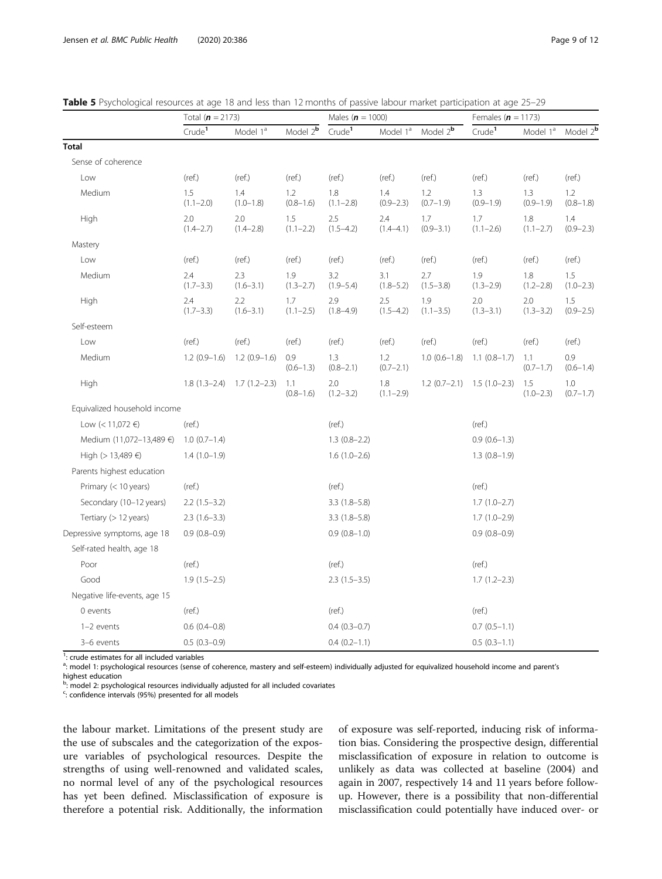|                              | Total ( $n = 2173$ ) |                      |                      | Males ( $n = 1000$ ) |                      |                          | Females ( $n = 1173$ ) |                      |                      |
|------------------------------|----------------------|----------------------|----------------------|----------------------|----------------------|--------------------------|------------------------|----------------------|----------------------|
|                              | Crude <sup>1</sup>   | Model 1 <sup>a</sup> | Model 2 <sup>b</sup> | Crude <sup>1</sup>   | Model 1 <sup>ª</sup> | Model $2^{\overline{b}}$ | Crude <sup>1</sup>     | Model 1 <sup>ª</sup> | Model 2 <sup>b</sup> |
| <b>Total</b>                 |                      |                      |                      |                      |                      |                          |                        |                      |                      |
| Sense of coherence           |                      |                      |                      |                      |                      |                          |                        |                      |                      |
| Low                          | (ref.)               | (ref.)               | (ref.)               | (ref.)               | (ref.)               | (ref.)                   | (ref.)                 | (ref.)               | (ref.)               |
| Medium                       | 1.5<br>$(1.1 - 2.0)$ | 1.4<br>$(1.0 - 1.8)$ | 1.2<br>$(0.8 - 1.6)$ | 1.8<br>$(1.1 - 2.8)$ | 1.4<br>$(0.9 - 2.3)$ | 1.2<br>$(0.7-1.9)$       | 1.3<br>$(0.9 - 1.9)$   | 1.3<br>$(0.9 - 1.9)$ | 1.2<br>$(0.8 - 1.8)$ |
| High                         | 2.0<br>$(1.4 - 2.7)$ | 2.0<br>$(1.4 - 2.8)$ | 1.5<br>$(1.1 - 2.2)$ | 2.5<br>$(1.5 - 4.2)$ | 2.4<br>$(1.4 - 4.1)$ | 1.7<br>$(0.9 - 3.1)$     | 1.7<br>$(1.1 - 2.6)$   | 1.8<br>$(1.1 - 2.7)$ | 1.4<br>$(0.9 - 2.3)$ |
| Mastery                      |                      |                      |                      |                      |                      |                          |                        |                      |                      |
| Low                          | (ref.)               | (ref.)               | (ref.)               | (ref.)               | (ref.)               | (ref.)                   | (ref.)                 | (ref.)               | (ref.)               |
| Medium                       | 2.4<br>$(1.7 - 3.3)$ | 2.3<br>$(1.6 - 3.1)$ | 1.9<br>$(1.3 - 2.7)$ | 3.2<br>$(1.9 - 5.4)$ | 3.1<br>$(1.8 - 5.2)$ | 2.7<br>$(1.5 - 3.8)$     | 1.9<br>$(1.3 - 2.9)$   | 1.8<br>$(1.2 - 2.8)$ | 1.5<br>$(1.0 - 2.3)$ |
| High                         | 2.4<br>$(1.7 - 3.3)$ | 2.2<br>$(1.6 - 3.1)$ | 1.7<br>$(1.1 - 2.5)$ | 2.9<br>$(1.8 - 4.9)$ | 2.5<br>$(1.5 - 4.2)$ | 1.9<br>$(1.1 - 3.5)$     | 2.0<br>$(1.3 - 3.1)$   | 2.0<br>$(1.3 - 3.2)$ | 1.5<br>$(0.9 - 2.5)$ |
| Self-esteem                  |                      |                      |                      |                      |                      |                          |                        |                      |                      |
| Low                          | (ref.)               | (ref.)               | (ref.)               | (ref.)               | (ref.)               | (ref.)                   | (ref.)                 | (ref.)               | (ref.)               |
| Medium                       | $1.2(0.9-1.6)$       | $1.2(0.9-1.6)$       | 0.9<br>$(0.6 - 1.3)$ | 1.3<br>$(0.8 - 2.1)$ | 1.2<br>$(0.7 - 2.1)$ | $1.0(0.6-1.8)$           | $1.1(0.8-1.7)$         | 1.1<br>$(0.7 - 1.7)$ | 0.9<br>$(0.6 - 1.4)$ |
| High                         | $1.8(1.3-2.4)$       | $1.7(1.2-2.3)$       | 1.1<br>$(0.8 - 1.6)$ | 2.0<br>$(1.2 - 3.2)$ | 1.8<br>$(1.1 - 2.9)$ | $1.2(0.7-2.1)$           | $1.5(1.0-2.3)$         | 1.5<br>$(1.0 - 2.3)$ | 1.0<br>$(0.7 - 1.7)$ |
| Equivalized household income |                      |                      |                      |                      |                      |                          |                        |                      |                      |
| Low (< 11,072 €)             | (ref.)               |                      |                      | (ref.)               |                      |                          | (ref.)                 |                      |                      |
| Medium (11,072-13,489 €)     | $1.0(0.7-1.4)$       |                      |                      | $1.3(0.8-2.2)$       |                      |                          | $0.9(0.6-1.3)$         |                      |                      |
| High (> 13,489 €)            | $1.4(1.0-1.9)$       |                      |                      | $1.6(1.0-2.6)$       |                      |                          | $1.3(0.8-1.9)$         |                      |                      |
| Parents highest education    |                      |                      |                      |                      |                      |                          |                        |                      |                      |
| Primary (< 10 years)         | (ref.)               |                      |                      | (ref.)               |                      |                          | (ref.)                 |                      |                      |
| Secondary (10-12 years)      | $2.2(1.5-3.2)$       |                      |                      | $3.3(1.8-5.8)$       |                      |                          | $1.7(1.0-2.7)$         |                      |                      |
| Tertiary (> 12 years)        | $2.3(1.6-3.3)$       |                      |                      | $3.3(1.8-5.8)$       |                      |                          | $1.7(1.0-2.9)$         |                      |                      |
| Depressive symptoms, age 18  | $0.9(0.8-0.9)$       |                      |                      | $0.9(0.8-1.0)$       |                      |                          | $0.9(0.8-0.9)$         |                      |                      |
| Self-rated health, age 18    |                      |                      |                      |                      |                      |                          |                        |                      |                      |
| Poor                         | (ref.)               |                      |                      | (ref.)               |                      |                          | (ref.)                 |                      |                      |
| Good                         | $1.9(1.5-2.5)$       |                      |                      | $2.3(1.5-3.5)$       |                      |                          | $1.7(1.2 - 2.3)$       |                      |                      |
| Negative life-events, age 15 |                      |                      |                      |                      |                      |                          |                        |                      |                      |
| 0 events                     | (ref.)               |                      |                      | (ref.)               |                      |                          | (ref.)                 |                      |                      |
| 1-2 events                   | $0.6(0.4-0.8)$       |                      |                      | $0.4(0.3-0.7)$       |                      |                          | $0.7(0.5-1.1)$         |                      |                      |
| 3-6 events                   | $0.5(0.3-0.9)$       |                      |                      | $0.4(0.2-1.1)$       |                      |                          | $0.5(0.3-1.1)$         |                      |                      |

<span id="page-8-0"></span>

| <b>Table 5</b> Psychological resources at age 18 and less than 12 months of passive labour market participation at age 25–29 |  |  |
|------------------------------------------------------------------------------------------------------------------------------|--|--|
|------------------------------------------------------------------------------------------------------------------------------|--|--|

<sup>1</sup>: crude estimates for all included variables

a.<br>Thor the sychological resources (sense of coherence, mastery and self-esteem) individually adjusted for equivalized household income and parent's highest education

<sup>b</sup>: model 2: psychological resources individually adjusted for all included covariates

<sup>c</sup>: confidence intervals (95%) presented for all models

the labour market. Limitations of the present study are the use of subscales and the categorization of the exposure variables of psychological resources. Despite the strengths of using well-renowned and validated scales, no normal level of any of the psychological resources has yet been defined. Misclassification of exposure is therefore a potential risk. Additionally, the information of exposure was self-reported, inducing risk of information bias. Considering the prospective design, differential misclassification of exposure in relation to outcome is unlikely as data was collected at baseline (2004) and again in 2007, respectively 14 and 11 years before followup. However, there is a possibility that non-differential misclassification could potentially have induced over- or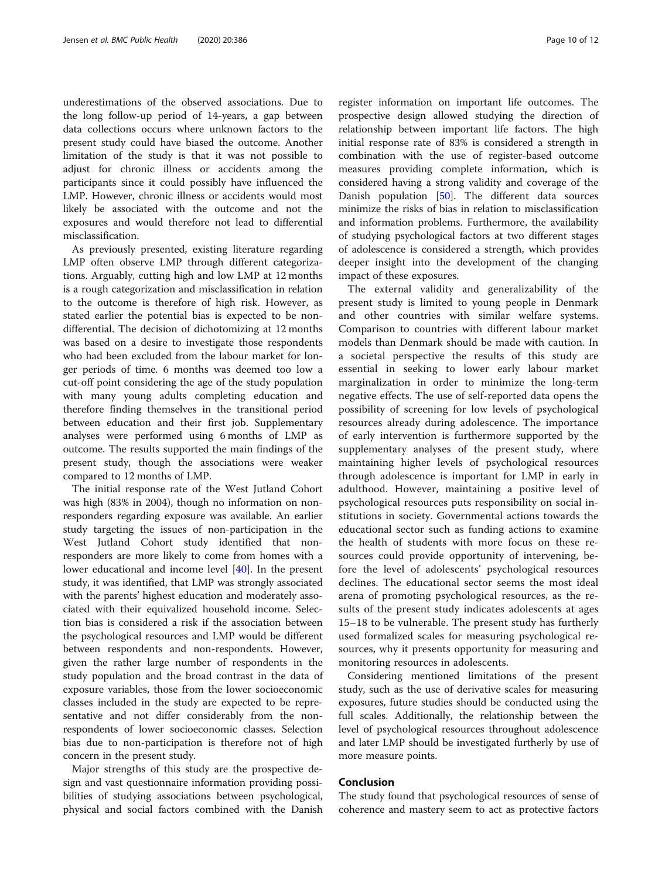underestimations of the observed associations. Due to the long follow-up period of 14-years, a gap between data collections occurs where unknown factors to the present study could have biased the outcome. Another limitation of the study is that it was not possible to adjust for chronic illness or accidents among the participants since it could possibly have influenced the LMP. However, chronic illness or accidents would most likely be associated with the outcome and not the exposures and would therefore not lead to differential misclassification.

As previously presented, existing literature regarding LMP often observe LMP through different categorizations. Arguably, cutting high and low LMP at 12 months is a rough categorization and misclassification in relation to the outcome is therefore of high risk. However, as stated earlier the potential bias is expected to be nondifferential. The decision of dichotomizing at 12 months was based on a desire to investigate those respondents who had been excluded from the labour market for longer periods of time. 6 months was deemed too low a cut-off point considering the age of the study population with many young adults completing education and therefore finding themselves in the transitional period between education and their first job. Supplementary analyses were performed using 6 months of LMP as outcome. The results supported the main findings of the present study, though the associations were weaker compared to 12 months of LMP.

The initial response rate of the West Jutland Cohort was high (83% in 2004), though no information on nonresponders regarding exposure was available. An earlier study targeting the issues of non-participation in the West Jutland Cohort study identified that nonresponders are more likely to come from homes with a lower educational and income level [\[40](#page-11-0)]. In the present study, it was identified, that LMP was strongly associated with the parents' highest education and moderately associated with their equivalized household income. Selection bias is considered a risk if the association between the psychological resources and LMP would be different between respondents and non-respondents. However, given the rather large number of respondents in the study population and the broad contrast in the data of exposure variables, those from the lower socioeconomic classes included in the study are expected to be representative and not differ considerably from the nonrespondents of lower socioeconomic classes. Selection bias due to non-participation is therefore not of high concern in the present study.

Major strengths of this study are the prospective design and vast questionnaire information providing possibilities of studying associations between psychological, physical and social factors combined with the Danish

register information on important life outcomes. The prospective design allowed studying the direction of relationship between important life factors. The high initial response rate of 83% is considered a strength in combination with the use of register-based outcome measures providing complete information, which is considered having a strong validity and coverage of the Danish population [\[50](#page-11-0)]. The different data sources minimize the risks of bias in relation to misclassification and information problems. Furthermore, the availability of studying psychological factors at two different stages of adolescence is considered a strength, which provides deeper insight into the development of the changing impact of these exposures.

The external validity and generalizability of the present study is limited to young people in Denmark and other countries with similar welfare systems. Comparison to countries with different labour market models than Denmark should be made with caution. In a societal perspective the results of this study are essential in seeking to lower early labour market marginalization in order to minimize the long-term negative effects. The use of self-reported data opens the possibility of screening for low levels of psychological resources already during adolescence. The importance of early intervention is furthermore supported by the supplementary analyses of the present study, where maintaining higher levels of psychological resources through adolescence is important for LMP in early in adulthood. However, maintaining a positive level of psychological resources puts responsibility on social institutions in society. Governmental actions towards the educational sector such as funding actions to examine the health of students with more focus on these resources could provide opportunity of intervening, before the level of adolescents' psychological resources declines. The educational sector seems the most ideal arena of promoting psychological resources, as the results of the present study indicates adolescents at ages 15–18 to be vulnerable. The present study has furtherly used formalized scales for measuring psychological resources, why it presents opportunity for measuring and monitoring resources in adolescents.

Considering mentioned limitations of the present study, such as the use of derivative scales for measuring exposures, future studies should be conducted using the full scales. Additionally, the relationship between the level of psychological resources throughout adolescence and later LMP should be investigated furtherly by use of more measure points.

#### Conclusion

The study found that psychological resources of sense of coherence and mastery seem to act as protective factors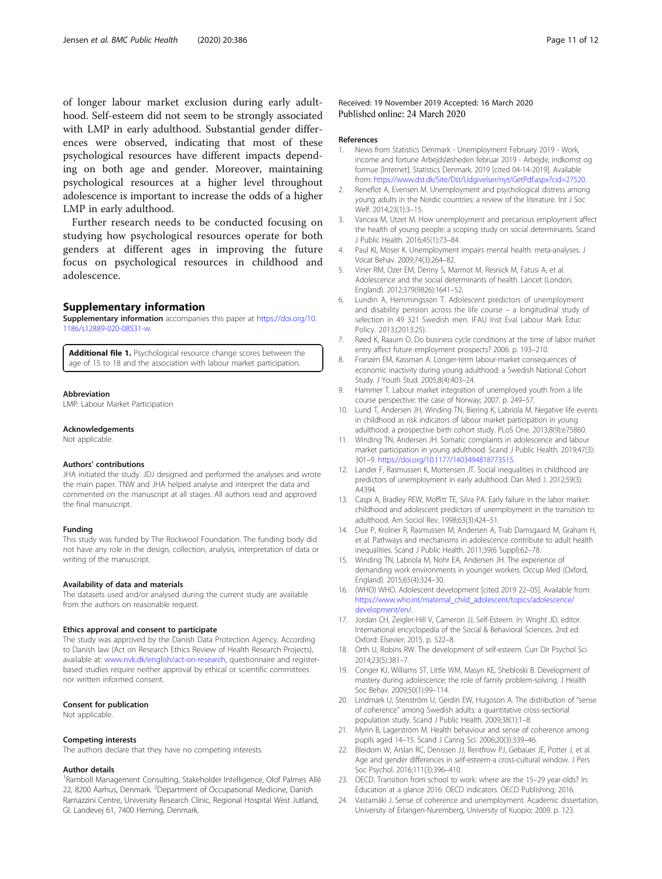<span id="page-10-0"></span>of longer labour market exclusion during early adulthood. Self-esteem did not seem to be strongly associated with LMP in early adulthood. Substantial gender differences were observed, indicating that most of these psychological resources have different impacts depending on both age and gender. Moreover, maintaining psychological resources at a higher level throughout adolescence is important to increase the odds of a higher LMP in early adulthood.

Further research needs to be conducted focusing on studying how psychological resources operate for both genders at different ages in improving the future focus on psychological resources in childhood and adolescence.

#### Supplementary information

Supplementary information accompanies this paper at [https://doi.org/10.](https://doi.org/10.1186/s12889-020-08531-w) [1186/s12889-020-08531-w](https://doi.org/10.1186/s12889-020-08531-w).

Additional file 1. Psychological resource change scores between the age of 15 to 18 and the association with labour market participation.

#### Abbreviation

LMP: Labour Market Participation

#### Acknowledgements

Not applicable.

#### Authors' contributions

JHA initiated the study. JDJ designed and performed the analyses and wrote the main paper. TNW and JHA helped analyse and interpret the data and commented on the manuscript at all stages. All authors read and approved the final manuscript.

#### Funding

This study was funded by The Rockwool Foundation. The funding body did not have any role in the design, collection, analysis, interpretation of data or writing of the manuscript.

#### Availability of data and materials

The datasets used and/or analysed during the current study are available from the authors on reasonable request.

#### Ethics approval and consent to participate

The study was approved by the Danish Data Protection Agency. According to Danish law (Act on Research Ethics Review of Health Research Projects), available at: [www.nvk.dk/english/act-on-research](http://www.nvk.dk/english/act-on-research), questionnaire and registerbased studies require neither approval by ethical or scientific committees nor written informed consent.

#### Consent for publication

Not applicable.

#### Competing interests

The authors declare that they have no competing interests.

#### Author details

<sup>1</sup> Ramboll Management Consulting, Stakeholder Intelligence, Olof Palmes Allé 22, 8200 Aarhus, Denmark. <sup>2</sup>Department of Occupational Medicine, Danish Ramazzini Centre, University Research Clinic, Regional Hospital West Jutland, Gl. Landevej 61, 7400 Herning, Denmark.

Received: 19 November 2019 Accepted: 16 March 2020 Published online: 24 March 2020

#### References

- 1. News from Statistics Denmark Unemployment February 2019 Work, income and fortune Arbejdsløsheden februar 2019 - Arbejde, indkomst og formue [Internet]. Statistics Denmark. 2019 [cited 04-14-2019]. Available from: [https://www.dst.dk/Site/Dst/Udgivelser/nyt/GetPdf.aspx?cid=27520.](https://www.dst.dk/Site/Dst/Udgivelser/nyt/GetPdf.aspx?cid=27520)
- 2. Reneflot A, Evensen M. Unemployment and psychological distress among young adults in the Nordic countries: a review of the literature. Int J Soc Welf. 2014;23(1):3–15.
- 3. Vancea M, Utzet M. How unemployment and precarious employment affect the health of young people: a scoping study on social determinants. Scand J Public Health. 2016;45(1):73–84.
- 4. Paul KI, Moser K. Unemployment impairs mental health: meta-analyses. J Vocat Behav. 2009;74(3):264–82.
- 5. Viner RM, Ozer EM, Denny S, Marmot M, Resnick M, Fatusi A, et al. Adolescence and the social determinants of health. Lancet (London, England). 2012;379(9826):1641–52.
- 6. Lundin A, Hemmingsson T. Adolescent predictors of unemployment and disability pension across the life course – a longitudinal study of selection in 49 321 Swedish men. IFAU Inst Eval Labour Mark Educ Policy. 2013;(2013:25).
- 7. Røed K, Raaum O. Do business cycle conditions at the time of labor market entry affect future employment prospects? 2006. p. 193–210.
- 8. Franzén EM, Kassman A. Longer-term labour-market consequences of economic inactivity during young adulthood: a Swedish National Cohort Study. J Youth Stud. 2005;8(4):403–24.
- 9. Hammer T. Labour market integration of unemployed youth from a life course perspective: the case of Norway; 2007. p. 249–57.
- 10. Lund T, Andersen JH, Winding TN, Biering K, Labriola M. Negative life events in childhood as risk indicators of labour market participation in young adulthood: a prospective birth cohort study. PLoS One. 2013;8(9):e75860.
- 11. Winding TN, Andersen JH. Somatic complaints in adolescence and labour market participation in young adulthood. Scand J Public Health. 2019;47(3): 301–9. <https://doi.org/10.1177/1403494818773515>.
- 12. Lander F, Rasmussen K, Mortensen JT. Social inequalities in childhood are predictors of unemployment in early adulthood. Dan Med J. 2012;59(3): A4394.
- 13. Caspi A, Bradley REW, Moffitt TE, Silva PA. Early failure in the labor market: childhood and adolescent predictors of unemployment in the transition to adulthood. Am Sociol Rev. 1998;63(3):424–51.
- 14. Due P, Krolner R, Rasmussen M, Andersen A, Trab Damsgaard M, Graham H, et al. Pathways and mechanisms in adolescence contribute to adult health inequalities. Scand J Public Health. 2011;39(6 Suppl):62–78.
- 15. Winding TN, Labriola M, Nohr EA, Andersen JH. The experience of demanding work environments in younger workers. Occup Med (Oxford, England). 2015;65(4):324–30.
- 16. (WHO) WHO. Adolescent development [cited 2019 22–05]. Available from: [https://www.who.int/maternal\\_child\\_adolescent/topics/adolescence/](https://www.who.int/maternal_child_adolescent/topics/adolescence/development/en/) [development/en/.](https://www.who.int/maternal_child_adolescent/topics/adolescence/development/en/)
- 17. Jordan CH, Zeigler-Hill V, Cameron JJ, Self-Esteem. In: Wright JD, editor. International encyclopedia of the Social & Behavioral Sciences. 2nd ed. Oxford: Elsevier; 2015. p. 522–8.
- 18. Orth U, Robins RW. The development of self-esteem. Curr Dir Psychol Sci. 2014;23(5):381–7.
- 19. Conger KJ, Williams ST, Little WM, Masyn KE, Shebloski B. Development of mastery during adolescence: the role of family problem-solving. J Health Soc Behav. 2009;50(1):99–114.
- 20. Lindmark U, Stenström U, Gerdin EW, Hugoson A. The distribution of "sense of coherence" among Swedish adults: a quantitative cross-sectional population study. Scand J Public Health. 2009;38(1):1–8.
- 21. Myrin B, Lagerström M. Health behaviour and sense of coherence among pupils aged 14–15. Scand J Caring Sci. 2006;20(3):339–46.
- 22. Bleidorn W, Arslan RC, Denissen JJ, Rentfrow PJ, Gebauer JE, Potter J, et al. Age and gender differences in self-esteem-a cross-cultural window. J Pers Soc Psychol. 2016;111(3):396–410.
- 23. OECD. Transition from school to work: where are the 15–29 year-olds? In: Education at a glance 2016: OECD indicators. OECD Publishing; 2016.
- 24. Vastamäki J. Sense of coherence and unemployment. Academic dissertation, University of Erlangen-Nuremberg, University of Kuopio; 2009. p. 123.